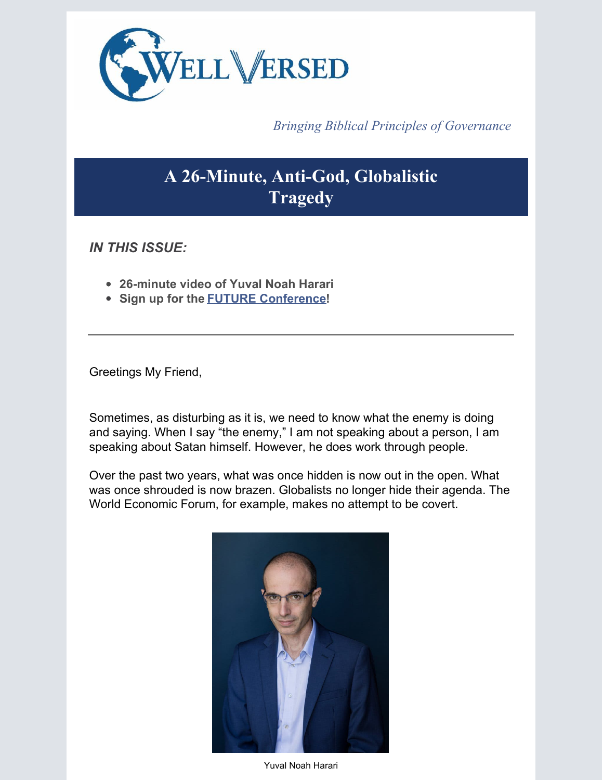

*Bringing Biblical Principles of Governance*

## **A 26-Minute, Anti-God, Globalistic Tragedy**

*IN THIS ISSUE:*

- **26-minute video of Yuval Noah Harari**
- **Sign up for the FUTURE [Conference](https://www.wellversedworld.org/futureconference/)!**

Greetings My Friend,

Sometimes, as disturbing as it is, we need to know what the enemy is doing and saying. When I say "the enemy," I am not speaking about a person, I am speaking about Satan himself. However, he does work through people.

Over the past two years, what was once hidden is now out in the open. What was once shrouded is now brazen. Globalists no longer hide their agenda. The World Economic Forum, for example, makes no attempt to be covert.



Yuval Noah Harari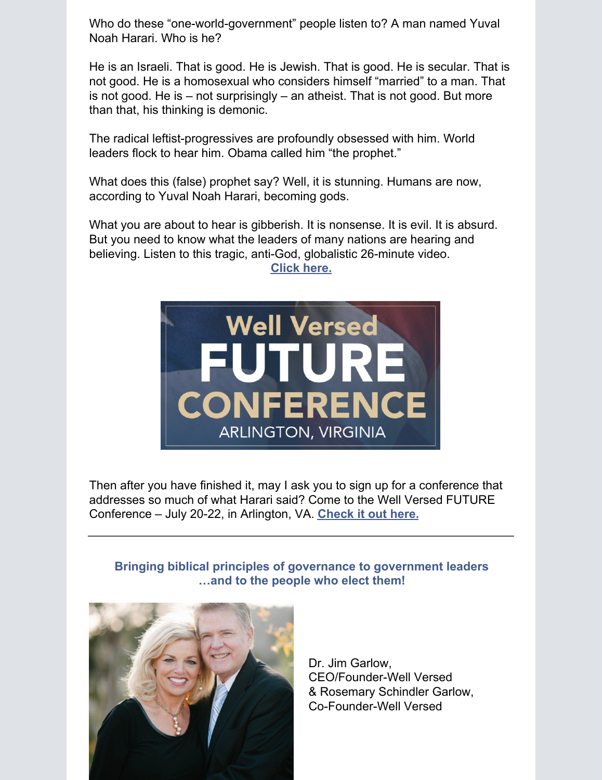Who do these "one-world-government" people listen to? A man named Yuval Noah Harari. Who is he?

He is an Israeli. That is good. He is Jewish. That is good. He is secular. That is not good. He is a homosexual who considers himself "married" to a man. That is not good. He is – not surprisingly – an atheist. That is not good. But more than that, his thinking is demonic.

The radical leftist-progressives are profoundly obsessed with him. World leaders flock to hear him. Obama called him "the prophet."

What does this (false) prophet say? Well, it is stunning. Humans are now, according to Yuval Noah Harari, becoming gods.

What you are about to hear is gibberish. It is nonsense. It is evil. It is absurd. But you need to know what the leaders of many nations are hearing and believing. Listen to this tragic, anti-God, globalistic 26-minute video.

**[Click](https://www.brighteon.com/eab1838b-260d-45dd-b57a-a39063545d07) here.**



Then after you have finished it, may I ask you to sign up for a conference that addresses so much of what Harari said? Come to the Well Versed FUTURE Conference – July 20-22, in Arlington, VA. **[Check](https://www.wellversedworld.org/futureconference/) it out here.**

## **Bringing biblical principles of governance to government leaders …and to the people who elect them!**



Dr. Jim Garlow, CEO/Founder-Well Versed & Rosemary Schindler Garlow, Co-Founder-Well Versed